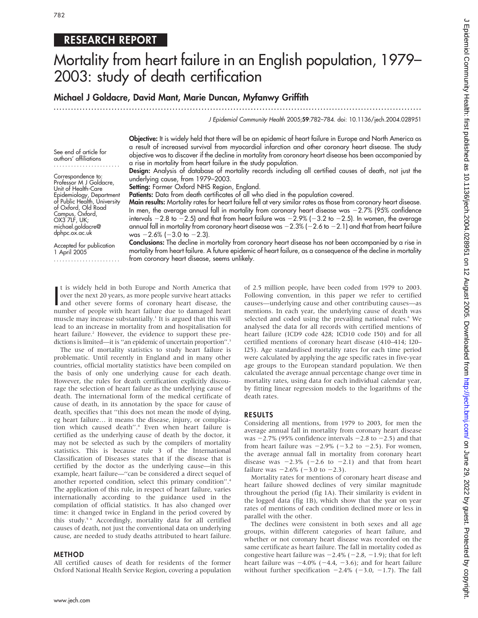## RESEARCH REPORT

# Mortality from heart failure in an English population, 1979– 2003: study of death certification

### Michael J Goldacre, David Mant, Marie Duncan, Myfanwy Griffith

...............................................................................................................................

J Epidemiol Community Health 2005;59:782–784. doi: 10.1136/jech.2004.028951

Objective: It is widely held that there will be an epidemic of heart failure in Europe and North America as a result of increased survival from myocardial infarction and other coronary heart disease. The study objective was to discover if the decline in mortality from coronary heart disease has been accompanied by a rise in mortality from heart failure in the study population.

Design: Analysis of database of mortality records including all certified causes of death, not just the underlying cause, from 1979–2003.

**Setting:** Former Oxford NHS Region, England.

Patients: Data from death certificates of all who died in the population covered.

Main results: Mortality rates for heart failure fell at very similar rates as those from coronary heart disease. In men, the average annual fall in mortality from coronary heart disease was  $-2.7\%$  (95% confidence intervals  $-2.8$  to  $-2.5$ ) and that from heart failure was  $-2.9\%$  ( $-3.2$  to  $-2.5$ ). In women, the average annual fall in mortality from coronary heart disease was  $-2.3\%$  ( $-2.6$  to  $-2.1$ ) and that from heart failure was  $-2.6\%$  ( $-3.0$  to  $-2.3$ ).

Accepted for publication 1 April 2005 ....................... Conclusions: The decline in mortality from coronary heart disease has not been accompanied by a rise in mortality from heart failure. A future epidemic of heart failure, as a consequence of the decline in mortality from coronary heart disease, seems unlikely.

It is widely held in both Europe and North America that<br>
over the next 20 years, as more people survive heart attacks<br>
and other severe forms of coronary heart disease, the<br>
number of people with heart failure due to damag t is widely held in both Europe and North America that over the next 20 years, as more people survive heart attacks number of people with heart failure due to damaged heart muscle may increase substantially.<sup>1</sup> It is argued that this will lead to an increase in mortality from and hospitalisation for heart failure.<sup>2</sup> However, the evidence to support these predictions is limited—it is "an epidemic of uncertain proportion".<sup>3</sup>

The use of mortality statistics to study heart failure is problematic. Until recently in England and in many other countries, official mortality statistics have been compiled on the basis of only one underlying cause for each death. However, the rules for death certification explicitly discourage the selection of heart failure as the underlying cause of death. The international form of the medical certificate of cause of death, in its annotation by the space for cause of death, specifies that ''this does not mean the mode of dying, eg heart failure… it means the disease, injury, or complication which caused death''.4 Even when heart failure is certified as the underlying cause of death by the doctor, it may not be selected as such by the compilers of mortality statistics. This is because rule 3 of the International Classification of Diseases states that if the disease that is certified by the doctor as the underlying cause—in this example, heart failure—''can be considered a direct sequel of another reported condition, select this primary condition''.4 The application of this rule, in respect of heart failure, varies internationally according to the guidance used in the compilation of official statistics. It has also changed over time: it changed twice in England in the period covered by this study.5 6 Accordingly, mortality data for all certified causes of death, not just the conventional data on underlying cause, are needed to study deaths attributed to heart failure.

### METHOD

All certified causes of death for residents of the former Oxford National Health Service Region, covering a population of 2.5 million people, have been coded from 1979 to 2003. Following convention, in this paper we refer to certified causes—underlying cause and other contributing causes—as mentions. In each year, the underlying cause of death was selected and coded using the prevailing national rules.<sup>6</sup> We analysed the data for all records with certified mentions of heart failure (ICD9 code 428; ICD10 code I50) and for all certified mentions of coronary heart disease (410–414; I20– I25). Age standardised mortality rates for each time period were calculated by applying the age specific rates in five-year age groups to the European standard population. We then calculated the average annual percentage change over time in mortality rates, using data for each individual calendar year, by fitting linear regression models to the logarithms of the death rates.

### RESULTS

Considering all mentions, from 1979 to 2003, for men the average annual fall in mortality from coronary heart disease was  $-2.7\%$  (95% confidence intervals  $-2.8$  to  $-2.5$ ) and that from heart failure was  $-2.9\%$  ( $-3.2$  to  $-2.5$ ). For women, the average annual fall in mortality from coronary heart disease was  $-2.3\%$  ( $-2.6$  to  $-2.1$ ) and that from heart failure was  $-2.6\%$  ( $-3.0$  to  $-2.3$ ).

Mortality rates for mentions of coronary heart disease and heart failure showed declines of very similar magnitude throughout the period (fig 1A). Their similarity is evident in the logged data (fig 1B), which show that the year on year rates of mentions of each condition declined more or less in parallel with the other.

The declines were consistent in both sexes and all age groups, within different categories of heart failure, and whether or not coronary heart disease was recorded on the same certificate as heart failure. The fall in mortality coded as congestive heart failure was  $-2.4\%$  ( $-2.8$ ,  $-1.9$ ); that for left heart failure was  $-4.0\%$  ( $-4.4$ ,  $-3.6$ ); and for heart failure without further specification  $-2.4\%$  ( $-3.0$ ,  $-1.7$ ). The fall

Correspondence to: Professor M J Goldacre, Unit of Health-Care Epidemiology, Department of Public Health, University of Oxford, Old Road Campus, Oxford, OX3 7LF, UK; michael.goldacre@ dphpc.ox.ac.uk

See end of article for authors' affiliations .......................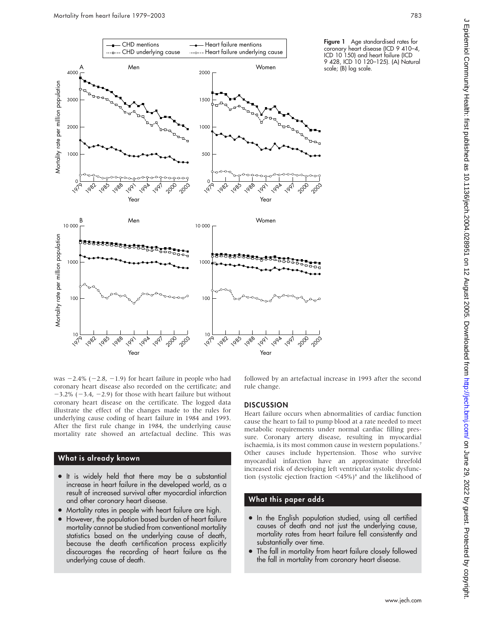

Figure 1 Age standardised rates for coronary heart disease (ICD 9 410–4, ICD 10 150) and heart failure (ICD 9 428, ICD 10 120–125). (A) Natural scale; (B) log scale.

was  $-2.4\%$  ( $-2.8$ ,  $-1.9$ ) for heart failure in people who had coronary heart disease also recorded on the certificate; and  $-3.2\%$  ( $-3.4$ ,  $-2.9$ ) for those with heart failure but without coronary heart disease on the certificate. The logged data illustrate the effect of the changes made to the rules for underlying cause coding of heart failure in 1984 and 1993. After the first rule change in 1984, the underlying cause mortality rate showed an artefactual decline. This was

### What is already known

- It is widely held that there may be a substantial increase in heart failure in the developed world, as a result of increased survival after myocardial infarction and other coronary heart disease.
- Mortality rates in people with heart failure are high.
- However, the population based burden of heart failure mortality cannot be studied from conventional mortality statistics based on the underlying cause of death, because the death certification process explicitly discourages the recording of heart failure as the underlying cause of death.

followed by an artefactual increase in 1993 after the second rule change.

### **DISCUSSION**

Heart failure occurs when abnormalities of cardiac function cause the heart to fail to pump blood at a rate needed to meet metabolic requirements under normal cardiac filling pressure. Coronary artery disease, resulting in myocardial ischaemia, is its most common cause in western populations.<sup>7</sup> Other causes include hypertension. Those who survive myocardial infarction have an approximate threefold increased risk of developing left ventricular systolic dysfunction (systolic ejection fraction  $\langle 45\% \rangle$ <sup>8</sup> and the likelihood of

### What this paper adds

- In the English population studied, using all certified causes of death and not just the underlying cause, mortality rates from heart failure fell consistently and substantially over time.
- The fall in mortality from heart failure closely followed the fall in mortality from coronary heart disease.